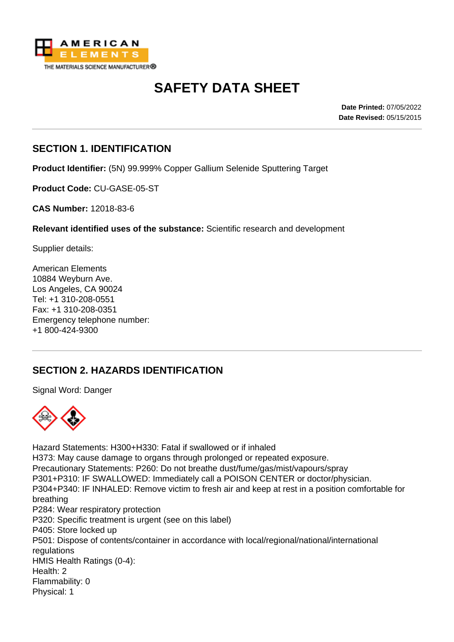

# **SAFETY DATA SHEET**

**Date Printed:** 07/05/2022 **Date Revised:** 05/15/2015

#### **SECTION 1. IDENTIFICATION**

**Product Identifier:** (5N) 99.999% Copper Gallium Selenide Sputtering Target

**Product Code:** CU-GASE-05-ST

**CAS Number:** 12018-83-6

**Relevant identified uses of the substance:** Scientific research and development

Supplier details:

American Elements 10884 Weyburn Ave. Los Angeles, CA 90024 Tel: +1 310-208-0551 Fax: +1 310-208-0351 Emergency telephone number: +1 800-424-9300

# **SECTION 2. HAZARDS IDENTIFICATION**

Signal Word: Danger



Hazard Statements: H300+H330: Fatal if swallowed or if inhaled H373: May cause damage to organs through prolonged or repeated exposure. Precautionary Statements: P260: Do not breathe dust/fume/gas/mist/vapours/spray P301+P310: IF SWALLOWED: Immediately call a POISON CENTER or doctor/physician. P304+P340: IF INHALED: Remove victim to fresh air and keep at rest in a position comfortable for breathing P284: Wear respiratory protection P320: Specific treatment is urgent (see on this label) P405: Store locked up P501: Dispose of contents/container in accordance with local/regional/national/international regulations HMIS Health Ratings (0-4): Health: 2 Flammability: 0 Physical: 1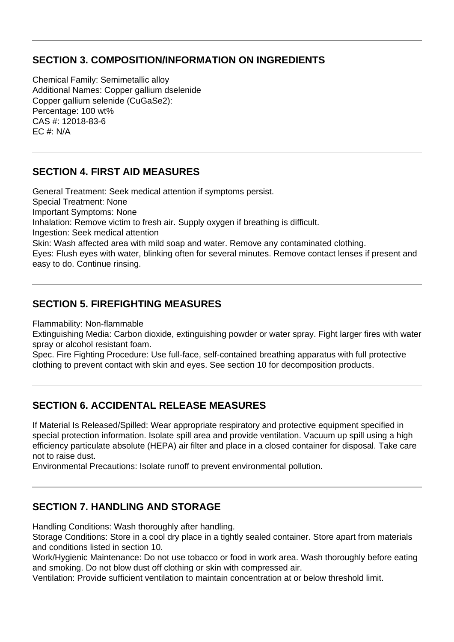#### **SECTION 3. COMPOSITION/INFORMATION ON INGREDIENTS**

Chemical Family: Semimetallic alloy Additional Names: Copper gallium dselenide Copper gallium selenide (CuGaSe2): Percentage: 100 wt% CAS #: 12018-83-6  $FC. # M/A$ 

#### **SECTION 4. FIRST AID MEASURES**

General Treatment: Seek medical attention if symptoms persist. Special Treatment: None Important Symptoms: None Inhalation: Remove victim to fresh air. Supply oxygen if breathing is difficult. Ingestion: Seek medical attention Skin: Wash affected area with mild soap and water. Remove any contaminated clothing. Eyes: Flush eyes with water, blinking often for several minutes. Remove contact lenses if present and easy to do. Continue rinsing.

# **SECTION 5. FIREFIGHTING MEASURES**

Flammability: Non-flammable

Extinguishing Media: Carbon dioxide, extinguishing powder or water spray. Fight larger fires with water spray or alcohol resistant foam.

Spec. Fire Fighting Procedure: Use full-face, self-contained breathing apparatus with full protective clothing to prevent contact with skin and eyes. See section 10 for decomposition products.

# **SECTION 6. ACCIDENTAL RELEASE MEASURES**

If Material Is Released/Spilled: Wear appropriate respiratory and protective equipment specified in special protection information. Isolate spill area and provide ventilation. Vacuum up spill using a high efficiency particulate absolute (HEPA) air filter and place in a closed container for disposal. Take care not to raise dust.

Environmental Precautions: Isolate runoff to prevent environmental pollution.

#### **SECTION 7. HANDLING AND STORAGE**

Handling Conditions: Wash thoroughly after handling.

Storage Conditions: Store in a cool dry place in a tightly sealed container. Store apart from materials and conditions listed in section 10.

Work/Hygienic Maintenance: Do not use tobacco or food in work area. Wash thoroughly before eating and smoking. Do not blow dust off clothing or skin with compressed air.

Ventilation: Provide sufficient ventilation to maintain concentration at or below threshold limit.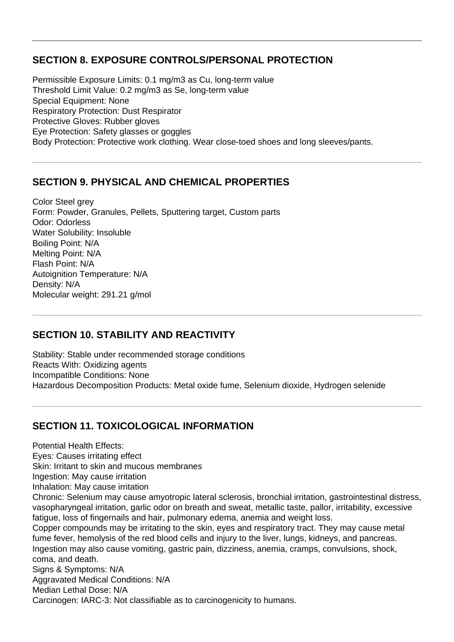#### **SECTION 8. EXPOSURE CONTROLS/PERSONAL PROTECTION**

Permissible Exposure Limits: 0.1 mg/m3 as Cu, long-term value Threshold Limit Value: 0.2 mg/m3 as Se, long-term value Special Equipment: None Respiratory Protection: Dust Respirator Protective Gloves: Rubber gloves Eye Protection: Safety glasses or goggles Body Protection: Protective work clothing. Wear close-toed shoes and long sleeves/pants.

# **SECTION 9. PHYSICAL AND CHEMICAL PROPERTIES**

Color Steel arev Form: Powder, Granules, Pellets, Sputtering target, Custom parts Odor: Odorless Water Solubility: Insoluble Boiling Point: N/A Melting Point: N/A Flash Point: N/A Autoignition Temperature: N/A Density: N/A Molecular weight: 291.21 g/mol

# **SECTION 10. STABILITY AND REACTIVITY**

Stability: Stable under recommended storage conditions Reacts With: Oxidizing agents Incompatible Conditions: None Hazardous Decomposition Products: Metal oxide fume, Selenium dioxide, Hydrogen selenide

# **SECTION 11. TOXICOLOGICAL INFORMATION**

Potential Health Effects: Eyes: Causes irritating effect Skin: Irritant to skin and mucous membranes Ingestion: May cause irritation Inhalation: May cause irritation Chronic: Selenium may cause amyotropic lateral sclerosis, bronchial irritation, gastrointestinal distress, vasopharyngeal irritation, garlic odor on breath and sweat, metallic taste, pallor, irritability, excessive fatigue, loss of fingernails and hair, pulmonary edema, anemia and weight loss. Copper compounds may be irritating to the skin, eyes and respiratory tract. They may cause metal fume fever, hemolysis of the red blood cells and injury to the liver, lungs, kidneys, and pancreas. Ingestion may also cause vomiting, gastric pain, dizziness, anemia, cramps, convulsions, shock, coma, and death. Signs & Symptoms: N/A Aggravated Medical Conditions: N/A Median Lethal Dose: N/A Carcinogen: IARC-3: Not classifiable as to carcinogenicity to humans.